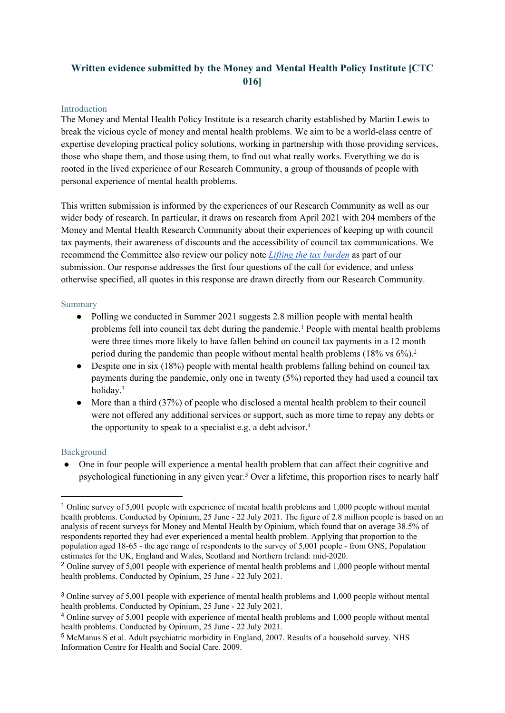# **Written evidence submitted by the Money and Mental Health Policy Institute [CTC 016]**

#### Introduction

The Money and Mental Health Policy Institute is a research charity established by Martin Lewis to break the vicious cycle of money and mental health problems. We aim to be a world-class centre of expertise developing practical policy solutions, working in partnership with those providing services, those who shape them, and those using them, to find out what really works. Everything we do is rooted in the lived experience of our Research Community, a group of thousands of people with personal experience of mental health problems.

This written submission is informed by the experiences of our Research Community as well as our wider body of research. In particular, it draws on research from April 2021 with 204 members of the Money and Mental Health Research Community about their experiences of keeping up with council tax payments, their awareness of discounts and the accessibility of council tax communications. We recommend the Committee also review our policy note *[Lifting](https://www.moneyandmentalhealth.org/wp-content/uploads/2021/11/Council-tax-policy-note.pdf) [the](https://www.moneyandmentalhealth.org/wp-content/uploads/2021/11/Council-tax-policy-note.pdf) [tax](https://www.moneyandmentalhealth.org/wp-content/uploads/2021/11/Council-tax-policy-note.pdf) [burden](https://www.moneyandmentalhealth.org/wp-content/uploads/2021/11/Council-tax-policy-note.pdf)* as part of our submission. Our response addresses the first four questions of the call for evidence, and unless otherwise specified, all quotes in this response are drawn directly from our Research Community.

#### Summary

- Polling we conducted in Summer 2021 suggests 2.8 million people with mental health problems fell into council tax debt during the pandemic.<sup>1</sup> People with mental health problems were three times more likely to have fallen behind on council tax payments in a 12 month period during the pandemic than people without mental health problems (18% vs 6%).<sup>2</sup>
- Despite one in six (18%) people with mental health problems falling behind on council tax payments during the pandemic, only one in twenty (5%) reported they had used a council tax holiday.<sup>3</sup>
- More than a third (37%) of people who disclosed a mental health problem to their council were not offered any additional services or support, such as more time to repay any debts or the opportunity to speak to a specialist e.g. a debt advisor.<sup>4</sup>

#### Background

● One in four people will experience a mental health problem that can affect their cognitive and psychological functioning in any given year.<sup>5</sup> Over a lifetime, this proportion rises to nearly half

<sup>1</sup> Online survey of 5,001 people with experience of mental health problems and 1,000 people without mental health problems. Conducted by Opinium, 25 June - 22 July 2021. The figure of 2.8 million people is based on an analysis of recent surveys for Money and Mental Health by Opinium, which found that on average 38.5% of respondents reported they had ever experienced a mental health problem. Applying that proportion to the population aged 18-65 - the age range of respondents to the survey of 5,001 people - from ONS, Population estimates for the UK, England and Wales, Scotland and Northern Ireland: mid-2020.

<sup>&</sup>lt;sup>2</sup> Online survey of 5,001 people with experience of mental health problems and 1,000 people without mental health problems. Conducted by Opinium, 25 June - 22 July 2021.

<sup>3</sup> Online survey of 5,001 people with experience of mental health problems and 1,000 people without mental health problems. Conducted by Opinium, 25 June - 22 July 2021.

<sup>4</sup> Online survey of 5,001 people with experience of mental health problems and 1,000 people without mental health problems. Conducted by Opinium, 25 June - 22 July 2021.

<sup>5</sup> McManus S et al. Adult psychiatric morbidity in England, 2007. Results of a household survey. NHS Information Centre for Health and Social Care. 2009.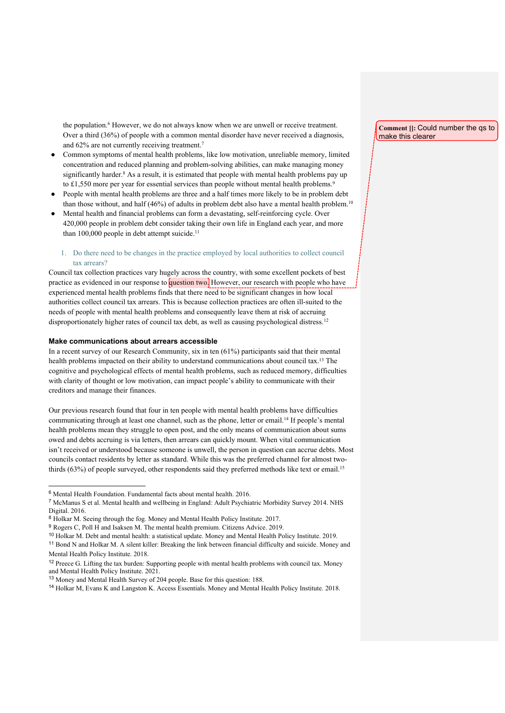the population.<sup>6</sup> However, we do not always know when we are unwell or receive treatment. Over a third (36%) of people with a common mental disorder have never received a diagnosis, and 62% are not currently receiving treatment.<sup>7</sup>

- Common symptoms of mental health problems, like low motivation, unreliable memory, limited concentration and reduced planning and problem-solving abilities, can make managing money significantly harder.<sup>8</sup> As a result, it is estimated that people with mental health problems pay up to £1,550 more per year for essential services than people without mental health problems.<sup>9</sup>
- People with mental health problems are three and a half times more likely to be in problem debt than those without, and half (46%) of adults in problem debt also have a mental health problem.<sup>10</sup>
- Mental health and financial problems can form a devastating, self-reinforcing cycle. Over 420,000 people in problem debt consider taking their own life in England each year, and more than 100,000 people in debt attempt suicide.<sup>11</sup>

#### 1. Do there need to be changes in the practice employed by local authorities to collect council tax arrears?

Council tax collection practices vary hugely across the country, with some excellent pockets of best practice as evidenced in our response to question two. However, our research with people who have experienced mental health problems finds that there need to be significant changes in how local authorities collect council tax arrears. This is because collection practices are often ill-suited to the needs of people with mental health problems and consequently leave them at risk of accruing disproportionately higher rates of council tax debt, as well as causing psychological distress.<sup>12</sup>

#### **Make communications about arrears accessible**

In a recent survey of our Research Community, six in ten (61%) participants said that their mental health problems impacted on their ability to understand communications about council tax.<sup>13</sup> The cognitive and psychological effects of mental health problems, such as reduced memory, difficulties with clarity of thought or low motivation, can impact people's ability to communicate with their creditors and manage their finances.

Our previous research found that four in ten people with mental health problems have difficulties communicating through at least one channel, such as the phone, letter or email.<sup>14</sup> If people's mental health problems mean they struggle to open post, and the only means of communication about sums owed and debts accruing is via letters, then arrears can quickly mount. When vital communication isn't received or understood because someone is unwell, the person in question can accrue debts. Most councils contact residents by letter as standard. While this was the preferred channel for almost twothirds (63%) of people surveyed, other respondents said they preferred methods like text or email.<sup>15</sup>

**Comment []:** Could number the qs to make this clearer

<sup>6</sup> Mental Health Foundation. Fundamental facts about mental health. 2016.

<sup>7</sup> McManus S et al. Mental health and wellbeing in England: Adult Psychiatric Morbidity Survey 2014. NHS Digital. 2016.

<sup>8</sup> Holkar M. Seeing through the fog. Money and Mental Health Policy Institute. 2017.

<sup>9</sup> Rogers C, Poll H and Isaksen M. The mental health premium. Citizens Advice. 2019.

<sup>10</sup> Holkar M. Debt and mental health: a statistical update. Money and Mental Health Policy Institute. 2019.

<sup>11</sup> Bond N and Holkar M. A silent killer: Breaking the link between financial difficulty and suicide. Money and Mental Health Policy Institute. 2018.

<sup>&</sup>lt;sup>12</sup> Preece G. Lifting the tax burden: Supporting people with mental health problems with council tax. Money and Mental Health Policy Institute. 2021.

<sup>13</sup> Money and Mental Health Survey of 204 people. Base for this question: 188.

<sup>14</sup> Holkar M, Evans K and Langston K. Access Essentials. Money and Mental Health Policy Institute. 2018.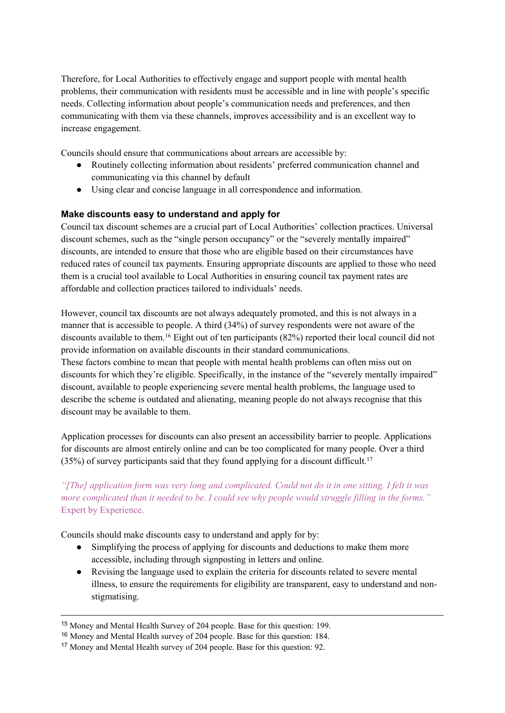Therefore, for Local Authorities to effectively engage and support people with mental health problems, their communication with residents must be accessible and in line with people's specific needs. Collecting information about people's communication needs and preferences, and then communicating with them via these channels, improves accessibility and is an excellent way to increase engagement.

Councils should ensure that communications about arrears are accessible by:

- Routinely collecting information about residents' preferred communication channel and communicating via this channel by default
- Using clear and concise language in all correspondence and information.

#### **Make discounts easy to understand and apply for**

Council tax discount schemes are a crucial part of Local Authorities' collection practices. Universal discount schemes, such as the "single person occupancy" or the "severely mentally impaired" discounts, are intended to ensure that those who are eligible based on their circumstances have reduced rates of council tax payments. Ensuring appropriate discounts are applied to those who need them is a crucial tool available to Local Authorities in ensuring council tax payment rates are affordable and collection practices tailored to individuals' needs.

However, council tax discounts are not always adequately promoted, and this is not always in a manner that is accessible to people. A third (34%) of survey respondents were not aware of the discounts available to them.<sup>16</sup> Eight out of ten participants (82%) reported their local council did not provide information on available discounts in their standard communications.

These factors combine to mean that people with mental health problems can often miss out on discounts for which they're eligible. Specifically, in the instance of the "severely mentally impaired" discount, available to people experiencing severe mental health problems, the language used to describe the scheme is outdated and alienating, meaning people do not always recognise that this discount may be available to them.

Application processes for discounts can also present an accessibility barrier to people. Applications for discounts are almost entirely online and can be too complicated for many people. Over a third  $(35%)$  of survey participants said that they found applying for a discount difficult.<sup>17</sup>

### "[The] application form was very long and complicated. Could not do it in one sitting. I felt it was more complicated than it needed to be. I could see why people would struggle filling in the forms." Expert by Experience.

Councils should make discounts easy to understand and apply for by:

- Simplifying the process of applying for discounts and deductions to make them more accessible, including through signposting in letters and online.
- Revising the language used to explain the criteria for discounts related to severe mental illness, to ensure the requirements for eligibility are transparent, easy to understand and nonstigmatising.

<sup>15</sup> Money and Mental Health Survey of 204 people. Base for this question: 199.

<sup>16</sup> Money and Mental Health survey of 204 people. Base for this question: 184.

<sup>17</sup> Money and Mental Health survey of 204 people. Base for this question: 92.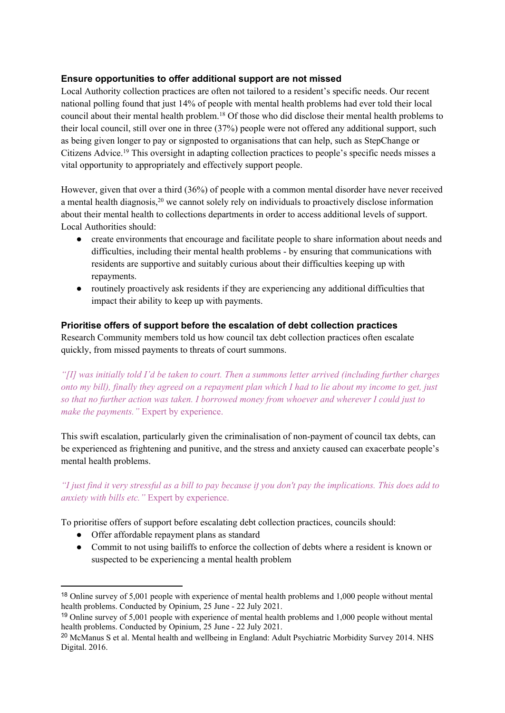### **Ensure opportunities to offer additional support are not missed**

Local Authority collection practices are often not tailored to a resident's specific needs. Our recent national polling found that just 14% of people with mental health problems had ever told their local council about their mental health problem.<sup>18</sup> Of those who did disclose their mental health problems to their local council, still over one in three (37%) people were not offered any additional support, such as being given longer to pay or signposted to organisations that can help, such as StepChange or Citizens Advice.<sup>19</sup> This oversight in adapting collection practices to people's specific needs misses a vital opportunity to appropriately and effectively support people.

However, given that over a third (36%) of people with a common mental disorder have never received a mental health diagnosis,<sup>20</sup> we cannot solely rely on individuals to proactively disclose information about their mental health to collections departments in order to access additional levels of support. Local Authorities should:

- create environments that encourage and facilitate people to share information about needs and difficulties, including their mental health problems - by ensuring that communications with residents are supportive and suitably curious about their difficulties keeping up with repayments.
- routinely proactively ask residents if they are experiencing any additional difficulties that impact their ability to keep up with payments.

#### **Prioritise offers of support before the escalation of debt collection practices**

Research Community members told us how council tax debt collection practices often escalate quickly, from missed payments to threats of court summons.

*"[I] was initially told I'd be taken to court. Then a summons letter arrived (including further charges* onto my bill), finally they agreed on a repayment plan which I had to lie about my income to get, just *so that no further action was taken. I borrowed money from whoever and wherever I could just to make the payments."* Expert by experience.

This swift escalation, particularly given the criminalisation of non-payment of council tax debts, can be experienced as frightening and punitive, and the stress and anxiety caused can exacerbate people's mental health problems.

"I just find it very stressful as a bill to pay because if you don't pay the implications. This does add to *anxiety with bills etc."* Expert by experience.

To prioritise offers of support before escalating debt collection practices, councils should:

- Offer affordable repayment plans as standard
- Commit to not using bailiffs to enforce the collection of debts where a resident is known or suspected to be experiencing a mental health problem

<sup>18</sup> Online survey of 5,001 people with experience of mental health problems and 1,000 people without mental health problems. Conducted by Opinium, 25 June - 22 July 2021.

<sup>19</sup> Online survey of 5,001 people with experience of mental health problems and 1,000 people without mental health problems. Conducted by Opinium, 25 June - 22 July 2021.

<sup>20</sup> McManus S et al. Mental health and wellbeing in England: Adult Psychiatric Morbidity Survey 2014. NHS Digital. 2016.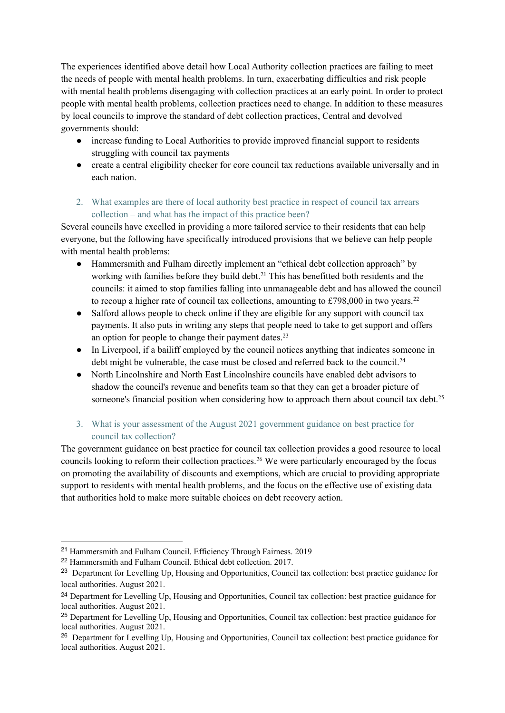The experiences identified above detail how Local Authority collection practices are failing to meet the needs of people with mental health problems. In turn, exacerbating difficulties and risk people with mental health problems disengaging with collection practices at an early point. In order to protect people with mental health problems, collection practices need to change. In addition to these measures by local councils to improve the standard of debt collection practices, Central and devolved governments should:

- increase funding to Local Authorities to provide improved financial support to residents struggling with council tax payments
- create a central eligibility checker for core council tax reductions available universally and in each nation.
- 2. What examples are there of local authority best practice in respect of council tax arrears collection – and what has the impact of this practice been?

Several councils have excelled in providing a more tailored service to their residents that can help everyone, but the following have specifically introduced provisions that we believe can help people with mental health problems:

- Hammersmith and Fulham directly implement an "ethical debt collection approach" by working with families before they build debt.<sup>21</sup> This has benefitted both residents and the councils: it aimed to stop families falling into unmanageable debt and has allowed the council to recoup a higher rate of council tax collections, amounting to  $£798,000$  in two years.<sup>22</sup>
- Salford allows people to check online if they are eligible for any support with council tax payments. It also puts in writing any steps that people need to take to get support and offers an option for people to change their payment dates.<sup>23</sup>
- In Liverpool, if a bailiff employed by the council notices anything that indicates someone in debt might be vulnerable, the case must be closed and referred back to the council.<sup>24</sup>
- North Lincolnshire and North East Lincolnshire councils have enabled debt advisors to shadow the council's revenue and benefits team so that they can get a broader picture of someone's financial position when considering how to approach them about council tax debt.<sup>25</sup>

## 3. What is your assessment of the August 2021 government guidance on best practice for council tax collection?

The government guidance on best practice for council tax collection provides a good resource to local councils looking to reform their collection practices.<sup>26</sup> We were particularly encouraged by the focus on promoting the availability of discounts and exemptions, which are crucial to providing appropriate support to residents with mental health problems, and the focus on the effective use of existing data that authorities hold to make more suitable choices on debt recovery action.

<sup>21</sup> Hammersmith and Fulham Council. Efficiency Through Fairness. 2019

<sup>22</sup> Hammersmith and Fulham Council. Ethical debt collection. 2017.

<sup>&</sup>lt;sup>23</sup> Department for Levelling Up, Housing and Opportunities, Council tax collection: best practice guidance for local authorities. August 2021.

<sup>24</sup> Department for Levelling Up, Housing and Opportunities, Council tax collection: best practice guidance for local authorities. August 2021.

<sup>25</sup> Department for Levelling Up, Housing and Opportunities, Council tax collection: best practice guidance for local authorities. August 2021.

<sup>&</sup>lt;sup>26</sup> Department for Levelling Up, Housing and Opportunities, Council tax collection: best practice guidance for local authorities. August 2021.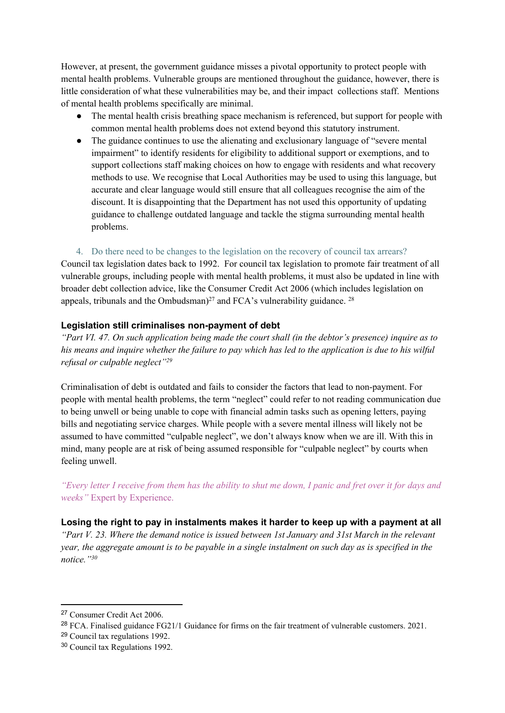However, at present, the government guidance misses a pivotal opportunity to protect people with mental health problems. Vulnerable groups are mentioned throughout the guidance, however, there is little consideration of what these vulnerabilities may be, and their impact collections staff. Mentions of mental health problems specifically are minimal.

- The mental health crisis breathing space mechanism is referenced, but support for people with common mental health problems does not extend beyond this statutory instrument.
- The guidance continues to use the alienating and exclusionary language of "severe mental impairment" to identify residents for eligibility to additional support or exemptions, and to support collections staff making choices on how to engage with residents and what recovery methods to use. We recognise that Local Authorities may be used to using this language, but accurate and clear language would still ensure that all colleagues recognise the aim of the discount. It is disappointing that the Department has not used this opportunity of updating guidance to challenge outdated language and tackle the stigma surrounding mental health problems.

4. Do there need to be changes to the legislation on the recovery of council tax arrears? Council tax legislation dates back to 1992. For council tax legislation to promote fair treatment of all vulnerable groups, including people with mental health problems, it must also be updated in line with broader debt collection advice, like the Consumer Credit Act 2006 (which includes legislation on appeals, tribunals and the Ombudsman)<sup>27</sup> and FCA's vulnerability guidance. <sup>28</sup>

#### **Legislation still criminalises non-payment of debt**

"Part VI. 47. On such application being made the court shall (in the debtor's presence) inquire as to his means and inquire whether the failure to pay which has led to the application is due to his wilful *refusal or culpable neglect"<sup>29</sup>*

Criminalisation of debt is outdated and fails to consider the factors that lead to non-payment. For people with mental health problems, the term "neglect" could refer to not reading communication due to being unwell or being unable to cope with financial admin tasks such as opening letters, paying bills and negotiating service charges. While people with a severe mental illness will likely not be assumed to have committed "culpable neglect", we don't always know when we are ill. With this in mind, many people are at risk of being assumed responsible for "culpable neglect" by courts when feeling unwell.

"Every letter I receive from them has the ability to shut me down, I panic and fret over it for days and *weeks"* Expert by Experience.

**Losing the right to pay in instalments makes it harder to keep up with a payment at all** *"Part V. 23. Where the demand notice is issued between 1st January and 31st March in the relevant* year, the aggregate amount is to be payable in a single instalment on such day as is specified in the *notice."<sup>30</sup>*

<sup>27</sup> Consumer Credit Act 2006.

<sup>28</sup> FCA. Finalised guidance FG21/1 Guidance for firms on the fair treatment of vulnerable customers. 2021.

<sup>29</sup> Council tax regulations 1992.

<sup>30</sup> Council tax Regulations 1992.